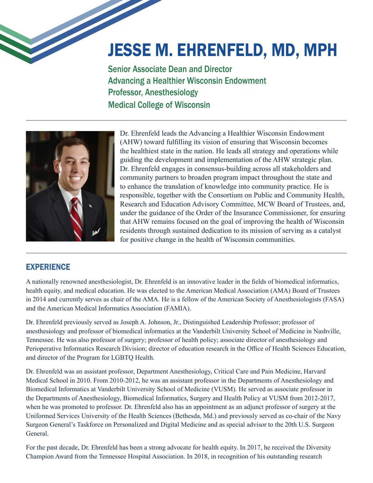## JESSE M. EHRENFELD, MD, MPH

Senior Associate Dean and Director Advancing a Healthier Wisconsin Endowment Professor, Anesthesiology Medical College of Wisconsin



Dr. Ehrenfeld leads the Advancing a Healthier Wisconsin Endowment (AHW) toward fulfilling its vision of ensuring that Wisconsin becomes the healthiest state in the nation. He leads all strategy and operations while guiding the development and implementation of the AHW strategic plan. Dr. Ehrenfeld engages in consensus-building across all stakeholders and community partners to broaden program impact throughout the state and to enhance the translation of knowledge into community practice. He is responsible, together with the Consortium on Public and Community Health, Research and Education Advisory Committee, MCW Board of Trustees, and, under the guidance of the Order of the Insurance Commissioner, for ensuring that AHW remains focused on the goal of improving the health of Wisconsin residents through sustained dedication to its mission of serving as a catalyst for positive change in the health of Wisconsin communities.

## **EXPERIENCE**

A nationally renowned anesthesiologist, Dr. Ehrenfeld is an innovative leader in the fields of biomedical informatics, health equity, and medical education. He was elected to the American Medical Association (AMA) Board of Trustees in 2014 and currently serves as chair of the AMA. He is a fellow of the American Society of Anesthesiologists (FASA) and the American Medical Informatics Association (FAMIA).

Dr. Ehrenfeld previously served as Joseph A. Johnson, Jr., Distinguished Leadership Professor; professor of anesthesiology and professor of biomedical informatics at the Vanderbilt University School of Medicine in Nashville, Tennessee. He was also professor of surgery; professor of health policy; associate director of anesthesiology and Perioperative Informatics Research Division; director of education research in the Office of Health Sciences Education, and director of the Program for LGBTQ Health.

Dr. Ehrenfeld was an assistant professor, Department Anesthesiology, Critical Care and Pain Medicine, Harvard Medical School in 2010. From 2010-2012, he was an assistant professor in the Departments of Anesthesiology and Biomedical Informatics at Vanderbilt University School of Medicine (VUSM). He served as associate professor in the Departments of Anesthesiology, Biomedical Informatics, Surgery and Health Policy at VUSM from 2012-2017, when he was promoted to professor. Dr. Ehrenfeld also has an appointment as an adjunct professor of surgery at the Uniformed Services University of the Health Sciences (Bethesda, Md.) and previously served as co-chair of the Navy Surgeon General's Taskforce on Personalized and Digital Medicine and as special advisor to the 20th U.S. Surgeon General.

For the past decade, Dr. Ehrenfeld has been a strong advocate for health equity. In 2017, he received the Diversity Champion Award from the Tennessee Hospital Association. In 2018, in recognition of his outstanding research